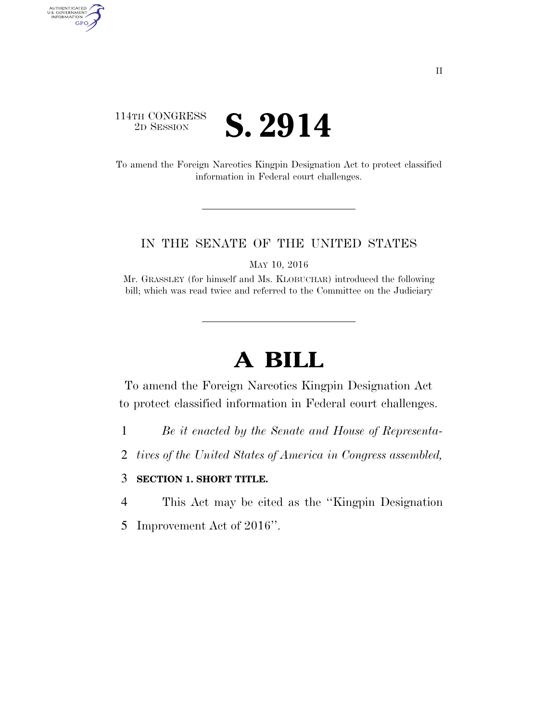### 114TH CONGRESS <sup>2D SESSION</sup> **S. 2914**

AUTHENTICATED<br>U.S. GOVERNMENT<br>INFORMATION GPO

> To amend the Foreign Narcotics Kingpin Designation Act to protect classified information in Federal court challenges.

#### IN THE SENATE OF THE UNITED STATES

MAY 10, 2016

Mr. GRASSLEY (for himself and Ms. KLOBUCHAR) introduced the following bill; which was read twice and referred to the Committee on the Judiciary

# **A BILL**

To amend the Foreign Narcotics Kingpin Designation Act to protect classified information in Federal court challenges.

- 1 *Be it enacted by the Senate and House of Representa-*
- 2 *tives of the United States of America in Congress assembled,*

#### 3 **SECTION 1. SHORT TITLE.**

4 This Act may be cited as the ''Kingpin Designation

5 Improvement Act of 2016''.